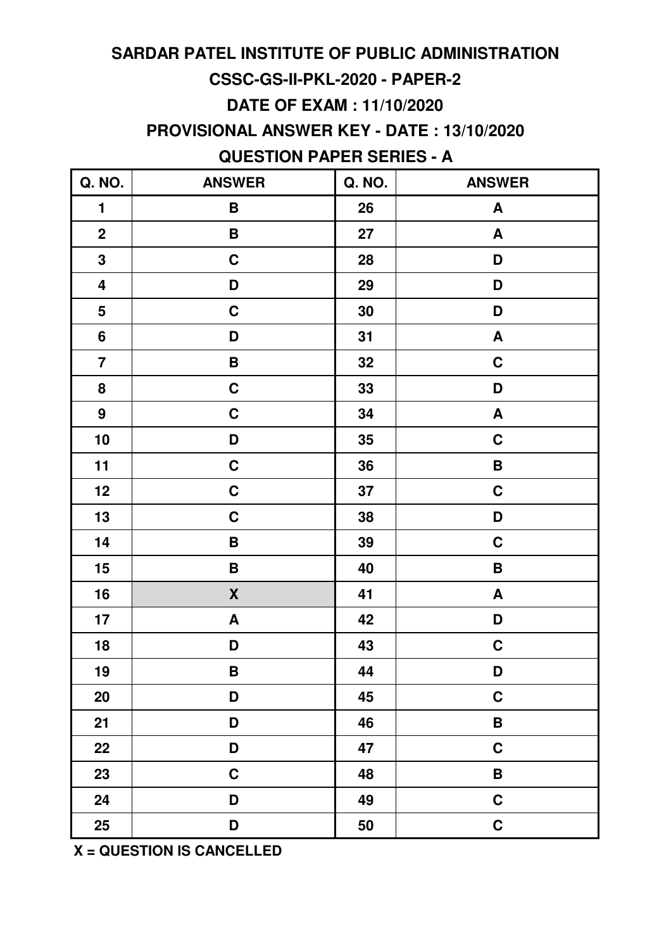# **CSSC-GS-II-PKL-2020 - PAPER-2 SARDAR PATEL INSTITUTE OF PUBLIC ADMINISTRATION DATE OF EXAM : 11/10/2020**

**PROVISIONAL ANSWER KEY - DATE : 13/10/2020**

### **QUESTION PAPER SERIES - A**

| Q. NO.                  | <b>ANSWER</b>      | Q. NO. | <b>ANSWER</b>             |
|-------------------------|--------------------|--------|---------------------------|
| $\blacksquare$          | B                  | 26     | $\boldsymbol{A}$          |
| $\mathbf{2}$            | B                  | 27     | A                         |
| $\mathbf 3$             | $\mathbf C$        | 28     | D                         |
| $\overline{\mathbf{4}}$ | D                  | 29     | D                         |
| $\overline{\mathbf{5}}$ | $\mathbf C$        | 30     | D                         |
| $6\phantom{a}$          | D                  | 31     | $\boldsymbol{\mathsf{A}}$ |
| $\overline{7}$          | $\pmb B$           | 32     | $\mathbf C$               |
| 8                       | $\mathbf C$        | 33     | D                         |
| $\boldsymbol{9}$        | $\mathbf C$        | 34     | $\boldsymbol{A}$          |
| 10                      | D                  | 35     | $\mathbf C$               |
| 11                      | $\mathbf C$        | 36     | $\pmb{\mathsf{B}}$        |
| 12                      | $\mathbf C$        | 37     | $\mathbf C$               |
| 13                      | $\mathbf C$        | 38     | D                         |
| 14                      | B                  | 39     | $\mathbf C$               |
| 15                      | $\, {\bf B}$       | 40     | B                         |
| 16                      | $\pmb{\mathsf{X}}$ | 41     | $\boldsymbol{\mathsf{A}}$ |
| 17                      | A                  | 42     | D                         |
| 18                      | D                  | 43     | $\mathbf C$               |
| 19                      | B                  | 44     | D                         |
| 20                      | D                  | 45     | $\mathbf C$               |
| 21                      | D                  | 46     | $\, {\bf B} \,$           |
| 22                      | D                  | 47     | $\mathbf C$               |
| 23                      | $\mathbf C$        | 48     | $\pmb B$                  |
| 24                      | D                  | 49     | $\mathbf C$               |
| 25                      | D                  | 50     | $\mathbf C$               |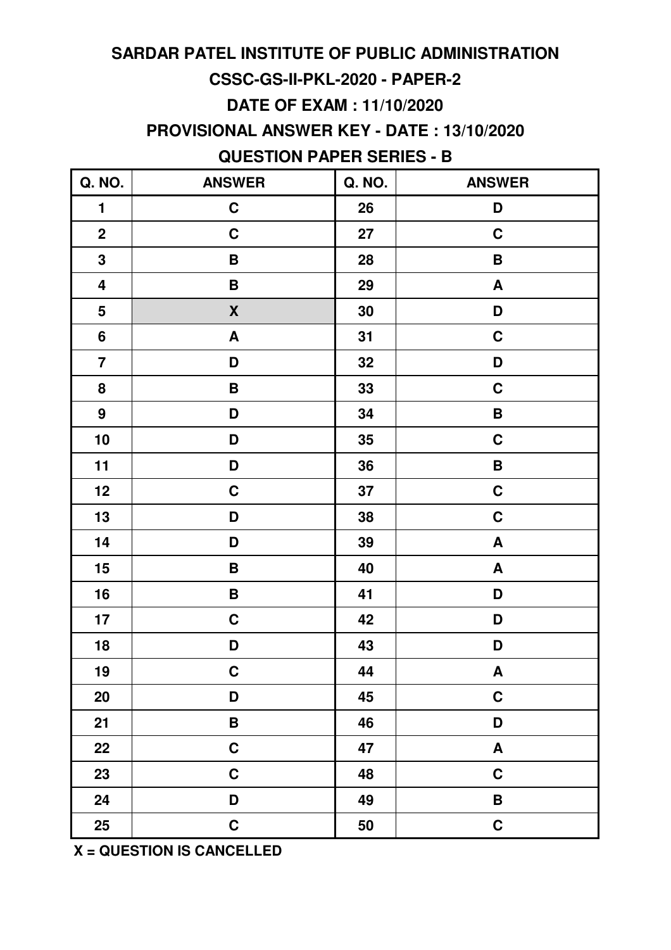# **SARDAR PATEL INSTITUTE OF PUBLIC ADMINISTRATION CSSC-GS-II-PKL-2020 - PAPER-2 DATE OF EXAM : 11/10/2020**

**PROVISIONAL ANSWER KEY - DATE : 13/10/2020**

### **QUESTION PAPER SERIES - B**

| Q. NO.                  | <b>ANSWER</b>             | Q. NO. | <b>ANSWER</b>             |
|-------------------------|---------------------------|--------|---------------------------|
| $\mathbf{1}$            | $\mathbf C$               | 26     | D                         |
| $\mathbf{2}$            | $\mathbf C$               | 27     | $\mathbf C$               |
| $\mathbf 3$             | B                         | 28     | B                         |
| $\overline{\mathbf{4}}$ | $\pmb B$                  | 29     | $\boldsymbol{\mathsf{A}}$ |
| $\overline{\mathbf{5}}$ | $\pmb{\mathsf{X}}$        | 30     | D                         |
| $6\phantom{a}$          | $\boldsymbol{\mathsf{A}}$ | 31     | $\mathbf C$               |
| $\overline{7}$          | D                         | 32     | D                         |
| 8                       | $\pmb B$                  | 33     | $\mathbf C$               |
| $\boldsymbol{9}$        | D                         | 34     | $\pmb B$                  |
| 10                      | D                         | 35     | $\mathbf C$               |
| 11                      | D                         | 36     | $\pmb{\mathsf{B}}$        |
| 12                      | $\mathbf C$               | 37     | $\mathbf C$               |
| 13                      | D                         | 38     | $\mathbf C$               |
| 14                      | D                         | 39     | A                         |
| 15                      | $\pmb B$                  | 40     | $\pmb{\mathsf{A}}$        |
| 16                      | $\, {\bf B}$              | 41     | D                         |
| 17                      | $\mathbf C$               | 42     | D                         |
| 18                      | D                         | 43     | D                         |
| 19                      | $\mathbf{C}$              | 44     | A                         |
| 20                      | D                         | 45     | $\mathbf C$               |
| 21                      | $\pmb B$                  | 46     | D                         |
| 22                      | $\mathbf C$               | 47     | A                         |
| 23                      | $\mathbf C$               | 48     | $\mathbf C$               |
| 24                      | D                         | 49     | $\pmb{\mathsf{B}}$        |
| 25                      | $\mathbf C$               | 50     | $\mathbf C$               |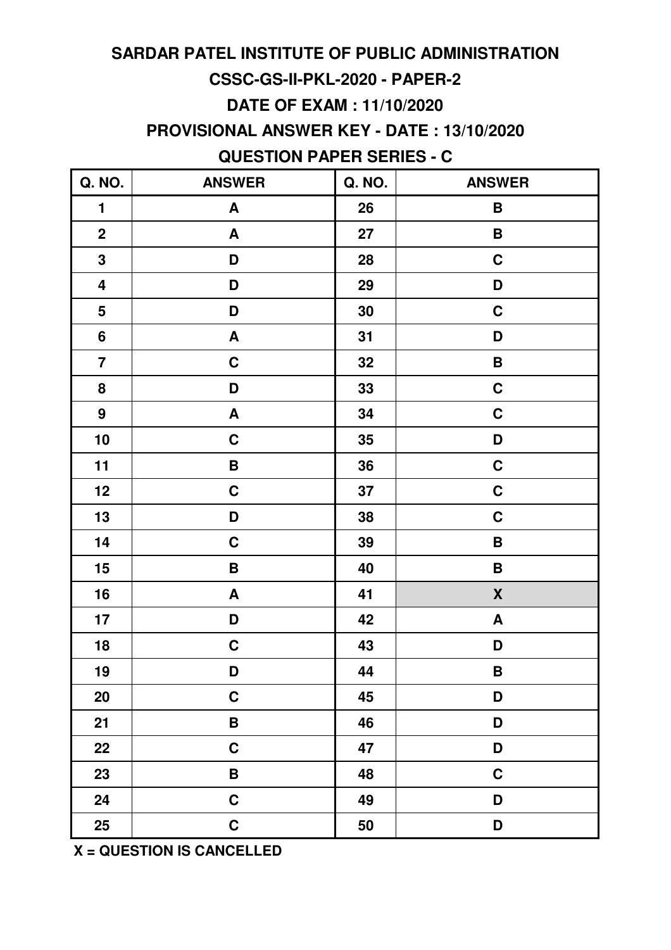# **SARDAR PATEL INSTITUTE OF PUBLIC ADMINISTRATION CSSC-GS-II-PKL-2020 - PAPER-2 DATE OF EXAM : 11/10/2020**

**PROVISIONAL ANSWER KEY - DATE : 13/10/2020**

### **QUESTION PAPER SERIES - C**

| Q. NO.                  | <b>ANSWER</b>             | Q. NO. | <b>ANSWER</b>      |
|-------------------------|---------------------------|--------|--------------------|
| $\mathbf{1}$            | A                         | 26     | B                  |
| $\mathbf{2}$            | A                         | 27     | B                  |
| $\mathbf 3$             | D                         | 28     | C                  |
| $\overline{\mathbf{4}}$ | D                         | 29     | D                  |
| $\overline{\mathbf{5}}$ | D                         | 30     | $\mathbf C$        |
| $6\phantom{a}$          | $\boldsymbol{\mathsf{A}}$ | 31     | D                  |
| $\overline{7}$          | $\mathbf C$               | 32     | B                  |
| 8                       | D                         | 33     | $\mathbf C$        |
| $\boldsymbol{9}$        | $\boldsymbol{\mathsf{A}}$ | 34     | $\mathbf C$        |
| 10                      | $\mathbf C$               | 35     | D                  |
| 11                      | $\pmb{\mathsf{B}}$        | 36     | $\mathbf C$        |
| 12                      | $\mathbf C$               | 37     | $\mathbf C$        |
| 13                      | D                         | 38     | $\mathbf C$        |
| 14                      | $\mathbf C$               | 39     | $\, {\bf B}$       |
| 15                      | $\pmb B$                  | 40     | $\pmb B$           |
| 16                      | $\boldsymbol{\mathsf{A}}$ | 41     | $\pmb{\mathsf{X}}$ |
| 17                      | D                         | 42     | A                  |
| 18                      | $\mathbf C$               | 43     | D                  |
| 19                      | D                         | 44     | B                  |
| 20                      | $\mathbf C$               | 45     | D                  |
| 21                      | $\pmb B$                  | 46     | D                  |
| 22                      | $\mathbf C$               | 47     | D                  |
| 23                      | $\, {\bf B} \,$           | 48     | $\mathbf C$        |
| 24                      | $\mathbf C$               | 49     | D                  |
| 25                      | $\mathbf C$               | 50     | D                  |